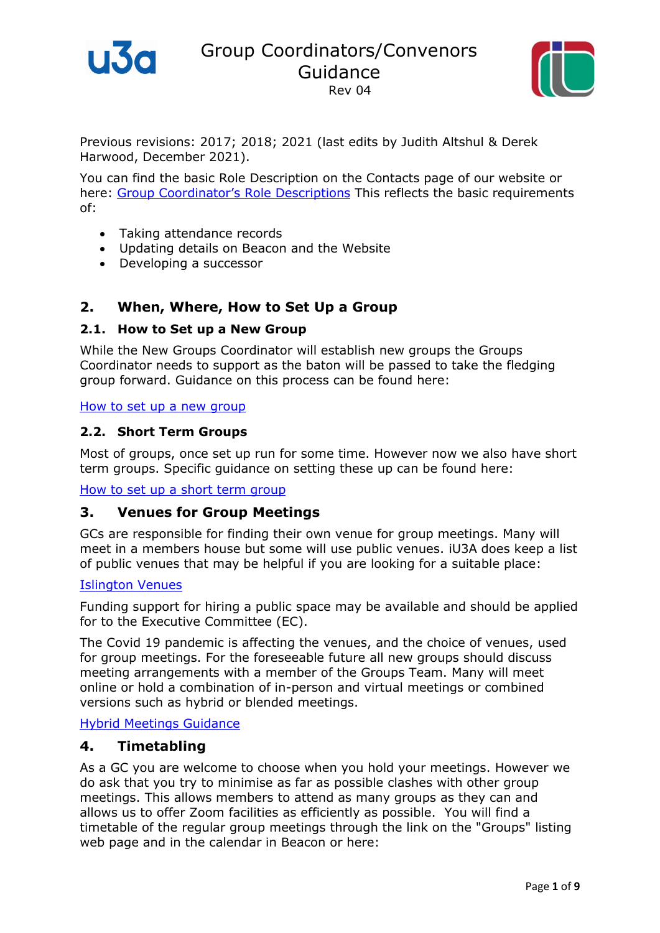

Group Coordinators/Convenors Guidance Rev 04



Previous revisions: 2017; 2018; 2021 (last edits by Judith Altshul & Derek Harwood, December 2021).

You can find the basic Role Description on the Contacts page of our website or here: [Group Coordinator](https://www.islingtonu3a.org/pdfdocs/Admin%20General/Job%20Description%20EC%20Groups%20Coordinator%20Rev%204.0.pdf)'s Role Descriptions This reflects the basic requirements of:

- Taking attendance records
- Updating details on Beacon and the Website
- Developing a successor

### **2. When, Where, How to Set Up a Group**

#### **2.1. How to Set up a New Group**

While the New Groups Coordinator will establish new groups the Groups Coordinator needs to support as the baton will be passed to take the fledging group forward. Guidance on this process can be found here:

#### [How to set up a new group](https://www.dropbox.com/s/ixxatm205lif1sx/NOTES%20ON%20SETTING%20UP%20A%20NEW%20GROUP.docx?dl=0)

#### **2.2. Short Term Groups**

Most of groups, once set up run for some time. However now we also have short term groups. Specific guidance on setting these up can be found here:

[How to set up a short term group](https://www.dropbox.com/s/44u6ojljoe2xc30/Guidance%20on%20setting%20up%20and%20running%20Short%20Courses%20-%20draft.docx?dl=0)

### **3. Venues for Group Meetings**

GCs are responsible for finding their own venue for group meetings. Many will meet in a members house but some will use public venues. iU3A does keep a list of public venues that may be helpful if you are looking for a suitable place:

#### [Islington Venues](https://www.dropbox.com/s/gnwf3hh4puimhtw/Venues%20for%20iU3A%20Rev06.pdf?dl=0)

Funding support for hiring a public space may be available and should be applied for to the Executive Committee (EC).

The Covid 19 pandemic is affecting the venues, and the choice of venues, used for group meetings. For the foreseeable future all new groups should discuss meeting arrangements with a member of the Groups Team. Many will meet online or hold a combination of in-person and virtual meetings or combined versions such as hybrid or blended meetings.

[Hybrid Meetings Guidance](https://www.u3a.org.uk/advice/running-your-u3a-covid-and-beyond/hybrid-groups)

### **4. Timetabling**

As a GC you are welcome to choose when you hold your meetings. However we do ask that you try to minimise as far as possible clashes with other group meetings. This allows members to attend as many groups as they can and allows us to offer Zoom facilities as efficiently as possible. You will find a timetable of the regular group meetings through the link on the "Groups" listing web page and in the calendar in Beacon or here: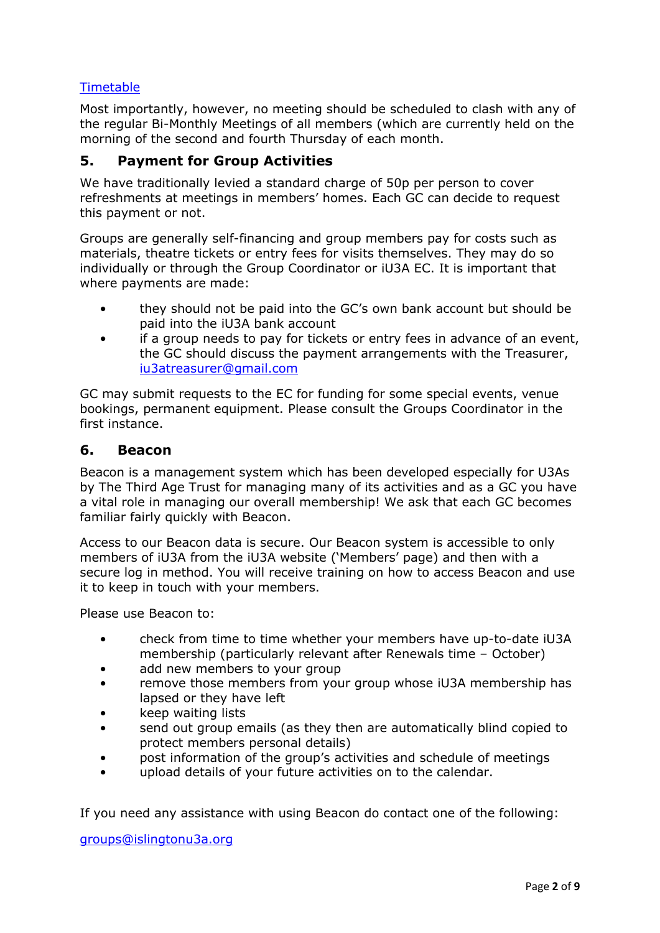# **[Timetable](https://www.islingtonu3a.org/pdfdocs/Admin%20General/timetable%20Sept%202021.pdf)**

Most importantly, however, no meeting should be scheduled to clash with any of the regular Bi-Monthly Meetings of all members (which are currently held on the morning of the second and fourth Thursday of each month.

### **5. Payment for Group Activities**

We have traditionally levied a standard charge of 50p per person to cover refreshments at meetings in members' homes. Each GC can decide to request this payment or not.

Groups are generally self-financing and group members pay for costs such as materials, theatre tickets or entry fees for visits themselves. They may do so individually or through the Group Coordinator or iU3A EC. It is important that where payments are made:

- they should not be paid into the GC's own bank account but should be paid into the iU3A bank account
- if a group needs to pay for tickets or entry fees in advance of an event, the GC should discuss the payment arrangements with the Treasurer, [iu3atreasurer@gmail.com](mailto:iu3atreasurer@gmail.com)

GC may submit requests to the EC for funding for some special events, venue bookings, permanent equipment. Please consult the Groups Coordinator in the first instance.

#### **6. Beacon**

Beacon is a management system which has been developed especially for U3As by The Third Age Trust for managing many of its activities and as a GC you have a vital role in managing our overall membership! We ask that each GC becomes familiar fairly quickly with Beacon.

Access to our Beacon data is secure. Our Beacon system is accessible to only members of iU3A from the iU3A website ('Members' page) and then with a secure log in method. You will receive training on how to access Beacon and use it to keep in touch with your members.

Please use Beacon to:

- check from time to time whether your members have up-to-date iU3A membership (particularly relevant after Renewals time – October)
- add new members to your group
- remove those members from your group whose iU3A membership has lapsed or they have left
- keep waiting lists
- send out group emails (as they then are automatically blind copied to protect members personal details)
- post information of the group's activities and schedule of meetings
- upload details of your future activities on to the calendar.

If you need any assistance with using Beacon do contact one of the following:

[groups@islingtonu3a.org](mailto:groups@islingtonu3a.org)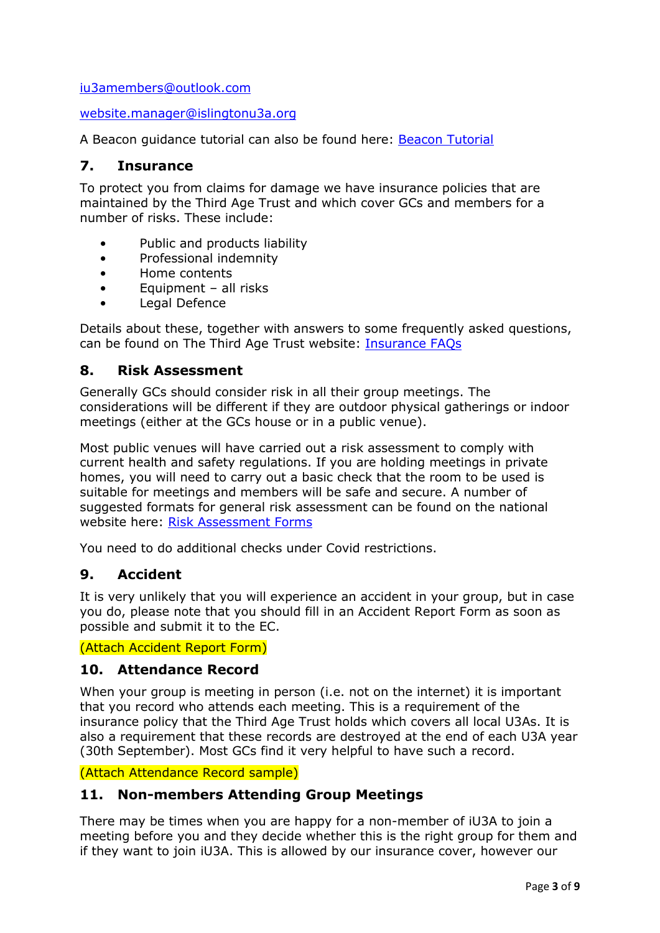[iu3amembers@outlook.com](mailto:iu3amembers@outlook.com)

[website.manager@islingtonu3a.org](mailto:website.manager@islingtonu3a.org)

A Beacon guidance tutorial can also be found here: [Beacon Tutorial](https://www.islingtonu3a.org/pdfdocs/Admin%20General/Beacon%20Tutorial%20for%20Coordinators%20Rev%2008.pdf)

### **7. Insurance**

To protect you from claims for damage we have insurance policies that are maintained by the Third Age Trust and which cover GCs and members for a number of risks. These include:

- Public and products liability
- Professional indemnity
- Home contents
- Equipment all risks
- Legal Defence

Details about these, together with answers to some frequently asked questions, can be found on The Third Age Trust website: [Insurance FAQs](https://www.u3a.org.uk/advice/keeping-it-legal/521-insurance-faqs-u3a-kms-doc-021)

### **8. Risk Assessment**

Generally GCs should consider risk in all their group meetings. The considerations will be different if they are outdoor physical gatherings or indoor meetings (either at the GCs house or in a public venue).

Most public venues will have carried out a risk assessment to comply with current health and safety regulations. If you are holding meetings in private homes, you will need to carry out a basic check that the room to be used is suitable for meetings and members will be safe and secure. A number of suggested formats for general risk assessment can be found on the national website here: [Risk Assessment Forms](https://www.u3a.org.uk/advice/risk-assessments)

You need to do additional checks under Covid restrictions.

# **9. Accident**

It is very unlikely that you will experience an accident in your group, but in case you do, please note that you should fill in an Accident Report Form as soon as possible and submit it to the EC.

(Attach Accident Report Form)

### **10. Attendance Record**

When your group is meeting in person (i.e. not on the internet) it is important that you record who attends each meeting. This is a requirement of the insurance policy that the Third Age Trust holds which covers all local U3As. It is also a requirement that these records are destroyed at the end of each U3A year (30th September). Most GCs find it very helpful to have such a record.

(Attach Attendance Record sample)

# **11. Non-members Attending Group Meetings**

There may be times when you are happy for a non-member of iU3A to join a meeting before you and they decide whether this is the right group for them and if they want to join iU3A. This is allowed by our insurance cover, however our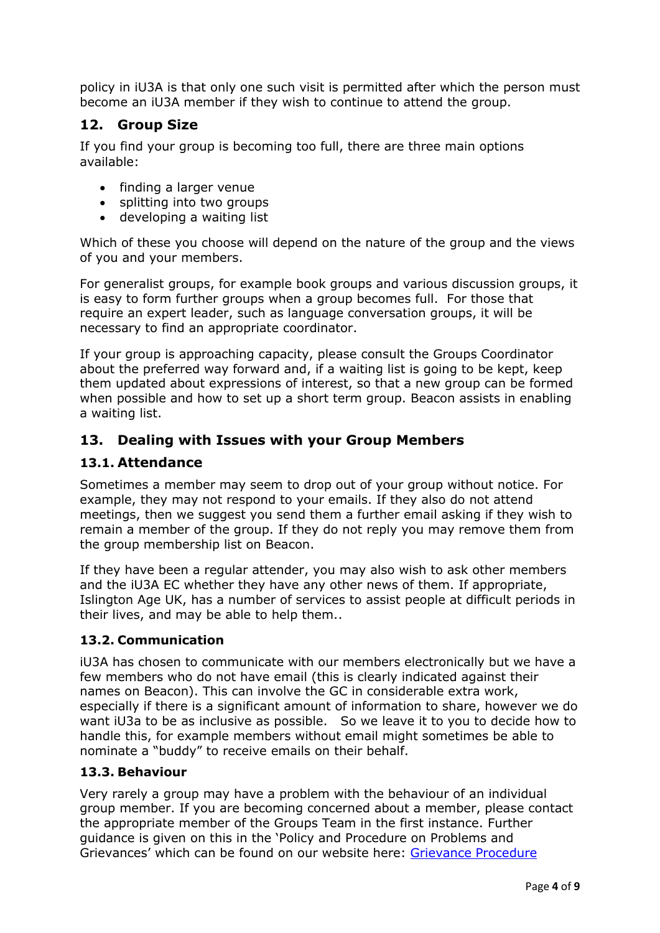policy in iU3A is that only one such visit is permitted after which the person must become an iU3A member if they wish to continue to attend the group.

# **12. Group Size**

If you find your group is becoming too full, there are three main options available:

- finding a larger venue
- splitting into two groups
- developing a waiting list

Which of these you choose will depend on the nature of the group and the views of you and your members.

For generalist groups, for example book groups and various discussion groups, it is easy to form further groups when a group becomes full. For those that require an expert leader, such as language conversation groups, it will be necessary to find an appropriate coordinator.

If your group is approaching capacity, please consult the Groups Coordinator about the preferred way forward and, if a waiting list is going to be kept, keep them updated about expressions of interest, so that a new group can be formed when possible and how to set up a short term group. Beacon assists in enabling a waiting list.

# **13. Dealing with Issues with your Group Members**

# **13.1. Attendance**

Sometimes a member may seem to drop out of your group without notice. For example, they may not respond to your emails. If they also do not attend meetings, then we suggest you send them a further email asking if they wish to remain a member of the group. If they do not reply you may remove them from the group membership list on Beacon.

If they have been a regular attender, you may also wish to ask other members and the iU3A EC whether they have any other news of them. If appropriate, Islington Age UK, has a number of services to assist people at difficult periods in their lives, and may be able to help them..

### **13.2. Communication**

iU3A has chosen to communicate with our members electronically but we have a few members who do not have email (this is clearly indicated against their names on Beacon). This can involve the GC in considerable extra work, especially if there is a significant amount of information to share, however we do want iU3a to be as inclusive as possible. So we leave it to you to decide how to handle this, for example members without email might sometimes be able to nominate a "buddy" to receive emails on their behalf.

### **13.3. Behaviour**

Very rarely a group may have a problem with the behaviour of an individual group member. If you are becoming concerned about a member, please contact the appropriate member of the Groups Team in the first instance. Further guidance is given on this in the 'Policy and Procedure on Problems and Grievances' which can be found on our website here: [Grievance Procedure](https://www.islingtonu3a.org/pdfdocs/AGM,%20Policies,%20Accounts/iU3A%20Grievance%20procedure.pdf)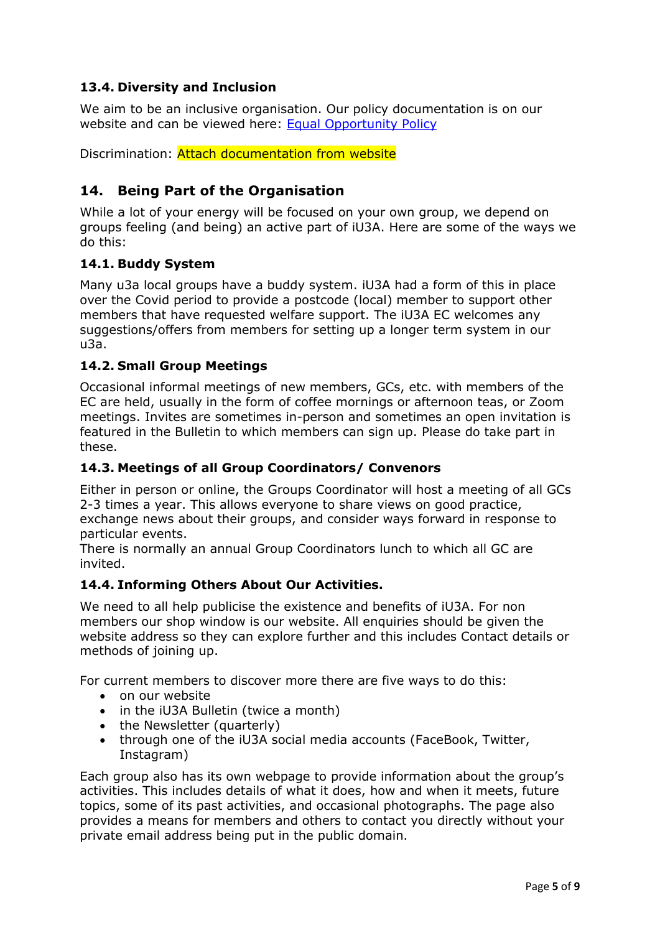# **13.4. Diversity and Inclusion**

We aim to be an inclusive organisation. Our policy documentation is on our website and can be viewed here: [Equal Opportunity Policy](https://www.islingtonu3a.org/pdfdocs/AGM,%20Policies,%20Accounts/Equal%20Opportunities%20Statement%20Rev02.pdf)

Discrimination: Attach documentation from website

# **14. Being Part of the Organisation**

While a lot of your energy will be focused on your own group, we depend on groups feeling (and being) an active part of iU3A. Here are some of the ways we do this:

#### **14.1. Buddy System**

Many u3a local groups have a buddy system. iU3A had a form of this in place over the Covid period to provide a postcode (local) member to support other members that have requested welfare support. The iU3A EC welcomes any suggestions/offers from members for setting up a longer term system in our u3a.

#### **14.2. Small Group Meetings**

Occasional informal meetings of new members, GCs, etc. with members of the EC are held, usually in the form of coffee mornings or afternoon teas, or Zoom meetings. Invites are sometimes in-person and sometimes an open invitation is featured in the Bulletin to which members can sign up. Please do take part in these.

#### **14.3. Meetings of all Group Coordinators/ Convenors**

Either in person or online, the Groups Coordinator will host a meeting of all GCs 2-3 times a year. This allows everyone to share views on good practice, exchange news about their groups, and consider ways forward in response to particular events.

There is normally an annual Group Coordinators lunch to which all GC are invited.

#### **14.4. Informing Others About Our Activities.**

We need to all help publicise the existence and benefits of iU3A. For non members our shop window is our website. All enquiries should be given the website address so they can explore further and this includes Contact details or methods of joining up.

For current members to discover more there are five ways to do this:

- on our website
- in the iU3A Bulletin (twice a month)
- the Newsletter (quarterly)
- through one of the iU3A social media accounts (FaceBook, Twitter, Instagram)

Each group also has its own webpage to provide information about the group's activities. This includes details of what it does, how and when it meets, future topics, some of its past activities, and occasional photographs. The page also provides a means for members and others to contact you directly without your private email address being put in the public domain.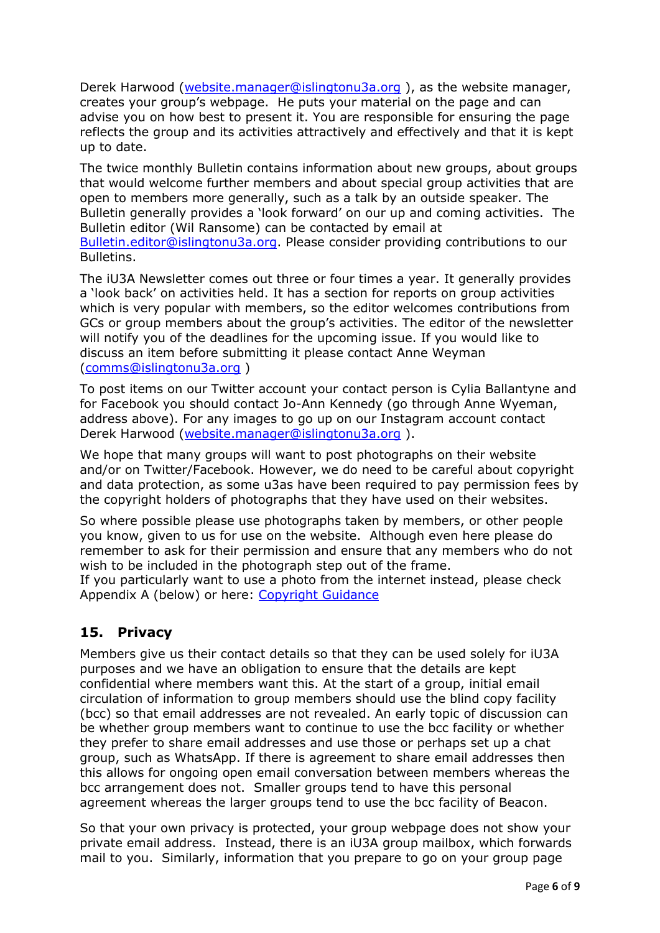Derek Harwood [\(website.manager@islingtonu3a.org](mailto:website.manager@islingtonu3a.org)), as the website manager, creates your group's webpage. He puts your material on the page and can advise you on how best to present it. You are responsible for ensuring the page reflects the group and its activities attractively and effectively and that it is kept up to date.

The twice monthly Bulletin contains information about new groups, about groups that would welcome further members and about special group activities that are open to members more generally, such as a talk by an outside speaker. The Bulletin generally provides a 'look forward' on our up and coming activities. The Bulletin editor (Wil Ransome) can be contacted by email at [Bulletin.editor@islingtonu3a.org.](mailto:Bulletin.editor@islingtonu3a.org) Please consider providing contributions to our Bulletins.

The iU3A Newsletter comes out three or four times a year. It generally provides a 'look back' on activities held. It has a section for reports on group activities which is very popular with members, so the editor welcomes contributions from GCs or group members about the group's activities. The editor of the newsletter will notify you of the deadlines for the upcoming issue. If you would like to discuss an item before submitting it please contact Anne Weyman [\(comms@islingtonu3a.org](mailto:comms@islingtonu3a.org) )

To post items on our Twitter account your contact person is Cylia Ballantyne and for Facebook you should contact Jo-Ann Kennedy (go through Anne Wyeman, address above). For any images to go up on our Instagram account contact Derek Harwood [\(website.manager@islingtonu3a.org](mailto:website.manager@islingtonu3a.org) ).

We hope that many groups will want to post photographs on their website and/or on Twitter/Facebook. However, we do need to be careful about copyright and data protection, as some u3as have been required to pay permission fees by the copyright holders of photographs that they have used on their websites.

So where possible please use photographs taken by members, or other people you know, given to us for use on the website. Although even here please do remember to ask for their permission and ensure that any members who do not wish to be included in the photograph step out of the frame.

If you particularly want to use a photo from the internet instead, please check Appendix A (below) or here: [Copyright Guidance](https://u3asites.org.uk/files/l/london-region/docs/sharedpracticeguide011-copyrightrev02-2.pdf)

# **15. Privacy**

Members give us their contact details so that they can be used solely for iU3A purposes and we have an obligation to ensure that the details are kept confidential where members want this. At the start of a group, initial email circulation of information to group members should use the blind copy facility (bcc) so that email addresses are not revealed. An early topic of discussion can be whether group members want to continue to use the bcc facility or whether they prefer to share email addresses and use those or perhaps set up a chat group, such as WhatsApp. If there is agreement to share email addresses then this allows for ongoing open email conversation between members whereas the bcc arrangement does not. Smaller groups tend to have this personal agreement whereas the larger groups tend to use the bcc facility of Beacon.

So that your own privacy is protected, your group webpage does not show your private email address. Instead, there is an iU3A group mailbox, which forwards mail to you. Similarly, information that you prepare to go on your group page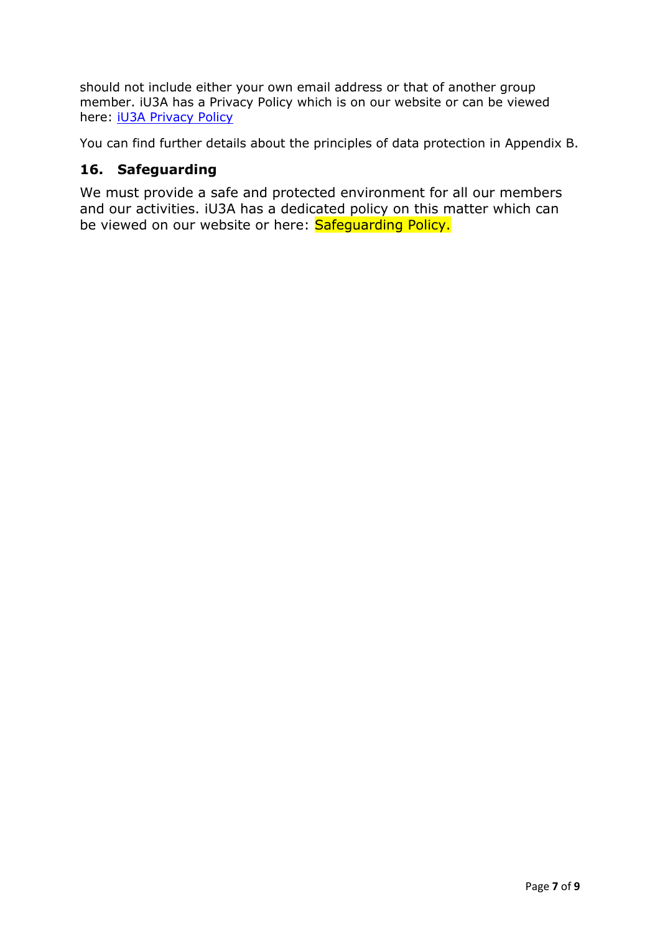should not include either your own email address or that of another group member. iU3A has a Privacy Policy which is on our website or can be viewed here: [iU3A Privacy Policy](https://www.islingtonu3a.org/pdfdocs/AGM,%20Policies,%20Accounts/GDPR%20Privacy%20Policy%20(Rev02).pdf)

You can find further details about the principles of data protection in Appendix B.

# **16. Safeguarding**

We must provide a safe and protected environment for all our members and our activities. iU3A has a dedicated policy on this matter which can be viewed on our website or here: Safequarding Policy.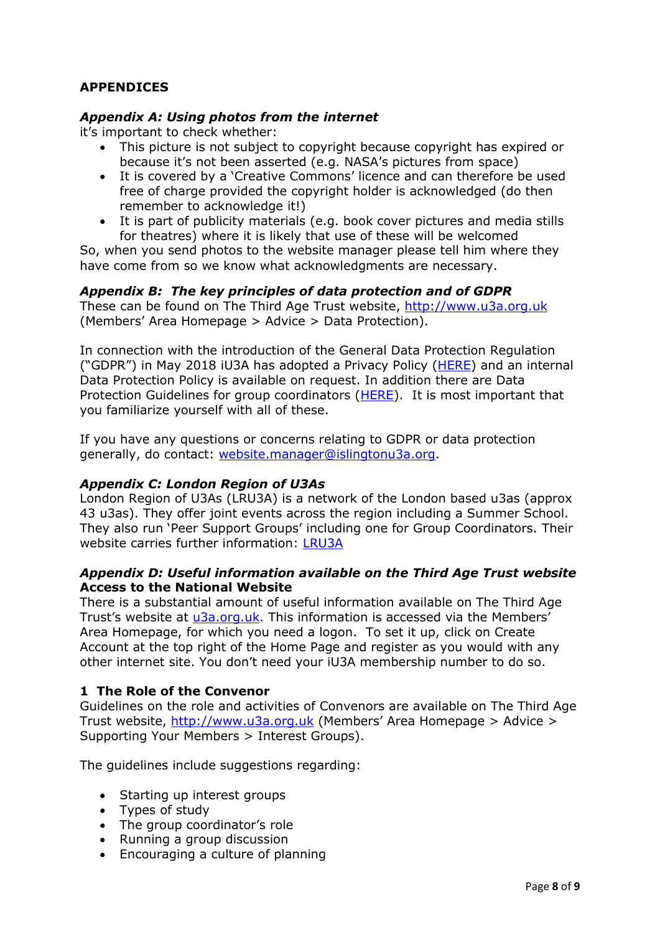# **APPENDICES**

### *Appendix A: Using photos from the internet*

it's important to check whether:

- This picture is not subject to copyright because copyright has expired or because it's not been asserted (e.g. NASA's pictures from space)
- It is covered by a 'Creative Commons' licence and can therefore be used free of charge provided the copyright holder is acknowledged (do then remember to acknowledge it!)
- It is part of publicity materials (e.g. book cover pictures and media stills for theatres) where it is likely that use of these will be welcomed

So, when you send photos to the website manager please tell him where they have come from so we know what acknowledgments are necessary.

### *Appendix B: The key principles of data protection and of GDPR*

These can be found on The Third Age Trust website, [http://www.u3a.org.uk](http://www.u3a.org.uk/) (Members' Area Homepage > Advice > Data Protection).

In connection with the introduction of the General Data Protection Regulation ("GDPR") in May 2018 iU3A has adopted a Privacy Policy ([HERE\)](http://www.islingtonu3a.org/pdfdocs/AGM,%20Policies,%20Accounts/GDPR%20Privacy%20Policy%20%2801.7%29%20clean.pdf) and an internal Data Protection Policy is available on request. In addition there are Data Protection Guidelines for group coordinators [\(HERE\)](http://www.islingtonu3a.org/pdfdocs/Admin%20General/Data%20Protection%20Guidance%20for%20Coordinators%20Rev%2001.pdf). It is most important that you familiarize yourself with all of these.

If you have any questions or concerns relating to GDPR or data protection generally, do contact: [website.manager@islingtonu3a.org.](mailto:website.manager@islingtonu3a.org)

### *Appendix C: London Region of U3As*

London Region of U3As (LRU3A) is a network of the London based u3as (approx 43 u3as). They offer joint events across the region including a Summer School. They also run 'Peer Support Groups' including one for Group Coordinators. Their website carries further information: [LRU3A](https://u3asites.org.uk/london-region/welcome)

#### *Appendix D: Useful information available on the Third Age Trust website* **Access to the National Website**

There is a substantial amount of useful information available on The Third Age Trust's website at [u3a.org.uk](http://www.u3a.org.uk/). This information is accessed via the Members' Area Homepage, for which you need a logon. To set it up, click on Create Account at the top right of the Home Page and register as you would with any other internet site. You don't need your iU3A membership number to do so.

### **1 The Role of the Convenor**

Guidelines on the role and activities of Convenors are available on The Third Age Trust website, [http://www.u3a.org.uk](http://www.u3a.org.uk/) (Members' Area Homepage > Advice > Supporting Your Members > Interest Groups).

The guidelines include suggestions regarding:

- Starting up interest groups
- Types of study
- The group coordinator's role
- Running a group discussion
- Encouraging a culture of planning